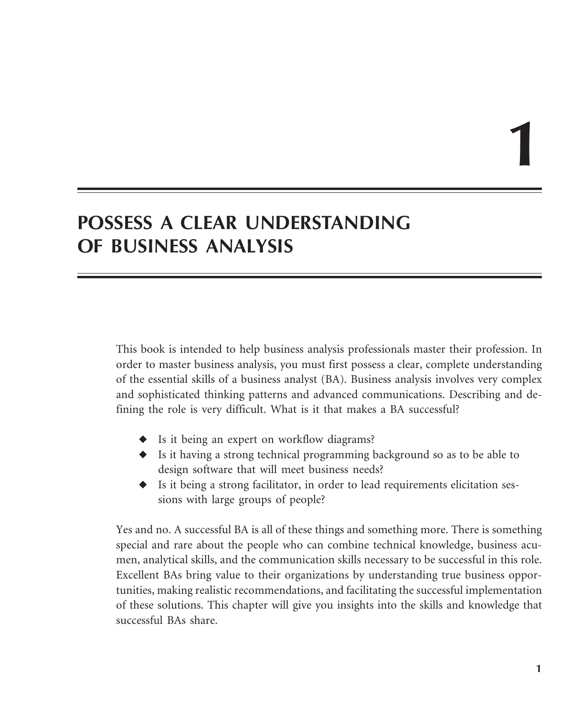# **1**

# **POSSESS A CLEAR UNDERSTANDING OF BUSINESS ANALYSIS**

This book is intended to help business analysis professionals master their profession. In order to master business analysis, you must first possess a clear, complete understanding of the essential skills of a business analyst (BA). Business analysis involves very complex and sophisticated thinking patterns and advanced communications. Describing and defining the role is very difficult. What is it that makes a BA successful?

- ◆ Is it being an expert on workflow diagrams?
- Is it having a strong technical programming background so as to be able to design software that will meet business needs?
- Is it being a strong facilitator, in order to lead requirements elicitation sessions with large groups of people?

Yes and no. A successful BA is all of these things and something more. There is something special and rare about the people who can combine technical knowledge, business acumen, analytical skills, and the communication skills necessary to be successful in this role. Excellent BAs bring value to their organizations by understanding true business opportunities, making realistic recommendations, and facilitating the successful implementation of these solutions. This chapter will give you insights into the skills and knowledge that successful BAs share.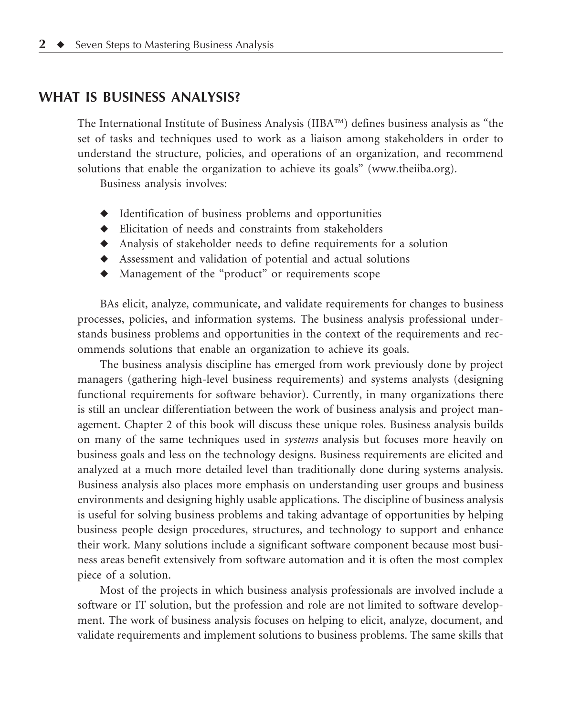# **WHAT IS BUSINESS ANALYSIS?**

The International Institute of Business Analysis (IIBA™) defines business analysis as "the set of tasks and techniques used to work as a liaison among stakeholders in order to understand the structure, policies, and operations of an organization, and recommend solutions that enable the organization to achieve its goals" (www.theiiba.org).

Business analysis involves:

- Identification of business problems and opportunities
- Elicitation of needs and constraints from stakeholders
- Analysis of stakeholder needs to define requirements for a solution
- Assessment and validation of potential and actual solutions
- Management of the "product" or requirements scope

BAs elicit, analyze, communicate, and validate requirements for changes to business processes, policies, and information systems. The business analysis professional understands business problems and opportunities in the context of the requirements and recommends solutions that enable an organization to achieve its goals.

The business analysis discipline has emerged from work previously done by project managers (gathering high-level business requirements) and systems analysts (designing functional requirements for software behavior). Currently, in many organizations there is still an unclear differentiation between the work of business analysis and project management. Chapter 2 of this book will discuss these unique roles. Business analysis builds on many of the same techniques used in *systems* analysis but focuses more heavily on business goals and less on the technology designs. Business requirements are elicited and analyzed at a much more detailed level than traditionally done during systems analysis. Business analysis also places more emphasis on understanding user groups and business environments and designing highly usable applications. The discipline of business analysis is useful for solving business problems and taking advantage of opportunities by helping business people design procedures, structures, and technology to support and enhance their work. Many solutions include a significant software component because most business areas benefit extensively from software automation and it is often the most complex piece of a solution.

Most of the projects in which business analysis professionals are involved include a software or IT solution, but the profession and role are not limited to software development. The work of business analysis focuses on helping to elicit, analyze, document, and validate requirements and implement solutions to business problems. The same skills that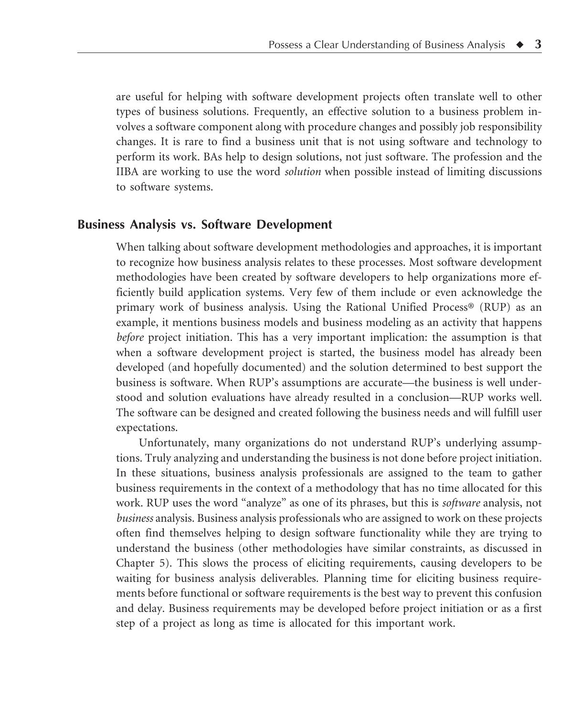are useful for helping with software development projects often translate well to other types of business solutions. Frequently, an effective solution to a business problem involves a software component along with procedure changes and possibly job responsibility changes. It is rare to find a business unit that is not using software and technology to perform its work. BAs help to design solutions, not just software. The profession and the IIBA are working to use the word *solution* when possible instead of limiting discussions to software systems.

#### **Business Analysis vs. Software Development**

When talking about software development methodologies and approaches, it is important to recognize how business analysis relates to these processes. Most software development methodologies have been created by software developers to help organizations more efficiently build application systems. Very few of them include or even acknowledge the primary work of business analysis. Using the Rational Unified Process® (RUP) as an example, it mentions business models and business modeling as an activity that happens *before* project initiation. This has a very important implication: the assumption is that when a software development project is started, the business model has already been developed (and hopefully documented) and the solution determined to best support the business is software. When RUP's assumptions are accurate—the business is well understood and solution evaluations have already resulted in a conclusion—RUP works well. The software can be designed and created following the business needs and will fulfill user expectations.

Unfortunately, many organizations do not understand RUP's underlying assumptions. Truly analyzing and understanding the business is not done before project initiation. In these situations, business analysis professionals are assigned to the team to gather business requirements in the context of a methodology that has no time allocated for this work. RUP uses the word "analyze" as one of its phrases, but this is *software* analysis, not *business* analysis. Business analysis professionals who are assigned to work on these projects often find themselves helping to design software functionality while they are trying to understand the business (other methodologies have similar constraints, as discussed in Chapter 5). This slows the process of eliciting requirements, causing developers to be waiting for business analysis deliverables. Planning time for eliciting business requirements before functional or software requirements is the best way to prevent this confusion and delay. Business requirements may be developed before project initiation or as a first step of a project as long as time is allocated for this important work.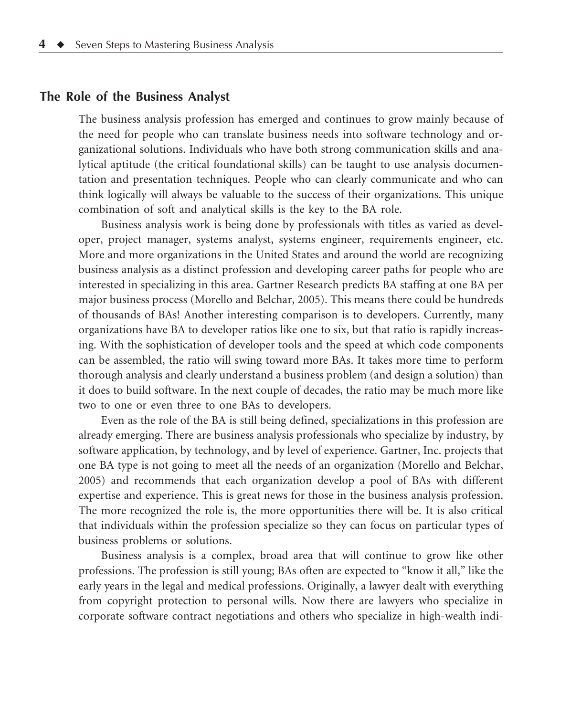#### **The Role of the Business Analyst**

The business analysis profession has emerged and continues to grow mainly because of the need for people who can translate business needs into software technology and organizational solutions. Individuals who have both strong communication skills and analytical aptitude (the critical foundational skills) can be taught to use analysis documentation and presentation techniques. People who can clearly communicate and who can think logically will always be valuable to the success of their organizations. This unique combination of soft and analytical skills is the key to the BA role.

Business analysis work is being done by professionals with titles as varied as developer, project manager, systems analyst, systems engineer, requirements engineer, etc. More and more organizations in the United States and around the world are recognizing business analysis as a distinct profession and developing career paths for people who are interested in specializing in this area. Gartner Research predicts BA staffing at one BA per major business process (Morello and Belchar, 2005). This means there could be hundreds of thousands of BAs! Another interesting comparison is to developers. Currently, many organizations have BA to developer ratios like one to six, but that ratio is rapidly increasing. With the sophistication of developer tools and the speed at which code components can be assembled, the ratio will swing toward more BAs. It takes more time to perform thorough analysis and clearly understand a business problem (and design a solution) than it does to build software. In the next couple of decades, the ratio may be much more like two to one or even three to one BAs to developers.

Even as the role of the BA is still being defined, specializations in this profession are already emerging. There are business analysis professionals who specialize by industry, by software application, by technology, and by level of experience. Gartner, Inc. projects that one BA type is not going to meet all the needs of an organization (Morello and Belchar, 2005) and recommends that each organization develop a pool of BAs with different expertise and experience. This is great news for those in the business analysis profession. The more recognized the role is, the more opportunities there will be. It is also critical that individuals within the profession specialize so they can focus on particular types of business problems or solutions.

Business analysis is a complex, broad area that will continue to grow like other professions. The profession is still young; BAs often are expected to "know it all," like the early years in the legal and medical professions. Originally, a lawyer dealt with everything from copyright protection to personal wills. Now there are lawyers who specialize in corporate software contract negotiations and others who specialize in high-wealth indi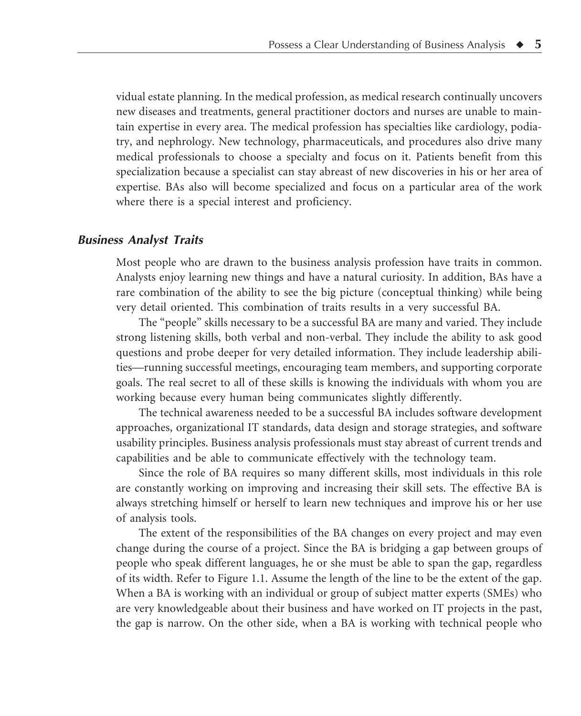vidual estate planning. In the medical profession, as medical research continually uncovers new diseases and treatments, general practitioner doctors and nurses are unable to maintain expertise in every area. The medical profession has specialties like cardiology, podiatry, and nephrology. New technology, pharmaceuticals, and procedures also drive many medical professionals to choose a specialty and focus on it. Patients benefit from this specialization because a specialist can stay abreast of new discoveries in his or her area of expertise. BAs also will become specialized and focus on a particular area of the work where there is a special interest and proficiency.

#### **Business Analyst Traits**

Most people who are drawn to the business analysis profession have traits in common. Analysts enjoy learning new things and have a natural curiosity. In addition, BAs have a rare combination of the ability to see the big picture (conceptual thinking) while being very detail oriented. This combination of traits results in a very successful BA.

The "people" skills necessary to be a successful BA are many and varied. They include strong listening skills, both verbal and non-verbal. They include the ability to ask good questions and probe deeper for very detailed information. They include leadership abilities—running successful meetings, encouraging team members, and supporting corporate goals. The real secret to all of these skills is knowing the individuals with whom you are working because every human being communicates slightly differently.

The technical awareness needed to be a successful BA includes software development approaches, organizational IT standards, data design and storage strategies, and software usability principles. Business analysis professionals must stay abreast of current trends and capabilities and be able to communicate effectively with the technology team.

Since the role of BA requires so many different skills, most individuals in this role are constantly working on improving and increasing their skill sets. The effective BA is always stretching himself or herself to learn new techniques and improve his or her use of analysis tools.

The extent of the responsibilities of the BA changes on every project and may even change during the course of a project. Since the BA is bridging a gap between groups of people who speak different languages, he or she must be able to span the gap, regardless of its width. Refer to Figure 1.1. Assume the length of the line to be the extent of the gap. When a BA is working with an individual or group of subject matter experts (SMEs) who are very knowledgeable about their business and have worked on IT projects in the past, the gap is narrow. On the other side, when a BA is working with technical people who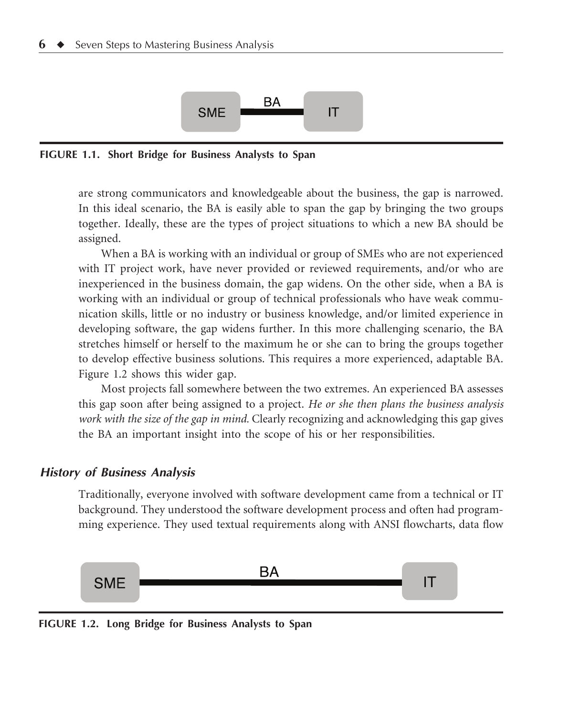

**FIGURE 1.1. Short Bridge for Business Analysts to Span**

are strong communicators and knowledgeable about the business, the gap is narrowed. In this ideal scenario, the BA is easily able to span the gap by bringing the two groups together. Ideally, these are the types of project situations to which a new BA should be assigned.

When a BA is working with an individual or group of SMEs who are not experienced with IT project work, have never provided or reviewed requirements, and/or who are inexperienced in the business domain, the gap widens. On the other side, when a BA is working with an individual or group of technical professionals who have weak communication skills, little or no industry or business knowledge, and/or limited experience in developing software, the gap widens further. In this more challenging scenario, the BA stretches himself or herself to the maximum he or she can to bring the groups together to develop effective business solutions. This requires a more experienced, adaptable BA. Figure 1.2 shows this wider gap.

Most projects fall somewhere between the two extremes. An experienced BA assesses this gap soon after being assigned to a project. *He or she then plans the business analysis work with the size of the gap in mind.* Clearly recognizing and acknowledging this gap gives the BA an important insight into the scope of his or her responsibilities.

#### **History of Business Analysis**

Traditionally, everyone involved with software development came from a technical or IT background. They understood the software development process and often had programming experience. They used textual requirements along with ANSI flowcharts, data flow



**FIGURE 1.2. Long Bridge for Business Analysts to Span**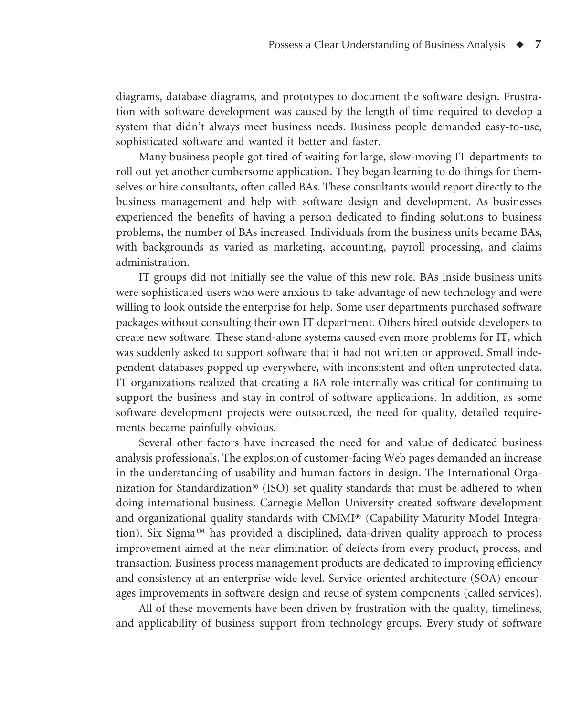diagrams, database diagrams, and prototypes to document the software design. Frustration with software development was caused by the length of time required to develop a system that didn't always meet business needs. Business people demanded easy-to-use, sophisticated software and wanted it better and faster.

Many business people got tired of waiting for large, slow-moving IT departments to roll out yet another cumbersome application. They began learning to do things for themselves or hire consultants, often called BAs. These consultants would report directly to the business management and help with software design and development. As businesses experienced the benefits of having a person dedicated to finding solutions to business problems, the number of BAs increased. Individuals from the business units became BAs, with backgrounds as varied as marketing, accounting, payroll processing, and claims administration.

IT groups did not initially see the value of this new role. BAs inside business units were sophisticated users who were anxious to take advantage of new technology and were willing to look outside the enterprise for help. Some user departments purchased software packages without consulting their own IT department. Others hired outside developers to create new software. These stand-alone systems caused even more problems for IT, which was suddenly asked to support software that it had not written or approved. Small independent databases popped up everywhere, with inconsistent and often unprotected data. IT organizations realized that creating a BA role internally was critical for continuing to support the business and stay in control of software applications. In addition, as some software development projects were outsourced, the need for quality, detailed requirements became painfully obvious.

Several other factors have increased the need for and value of dedicated business analysis professionals. The explosion of customer-facing Web pages demanded an increase in the understanding of usability and human factors in design. The International Organization for Standardization® (ISO) set quality standards that must be adhered to when doing international business. Carnegie Mellon University created software development and organizational quality standards with CMMI® (Capability Maturity Model Integration). Six Sigma™ has provided a disciplined, data-driven quality approach to process improvement aimed at the near elimination of defects from every product, process, and transaction. Business process management products are dedicated to improving efficiency and consistency at an enterprise-wide level. Service-oriented architecture (SOA) encourages improvements in software design and reuse of system components (called services).

All of these movements have been driven by frustration with the quality, timeliness, and applicability of business support from technology groups. Every study of software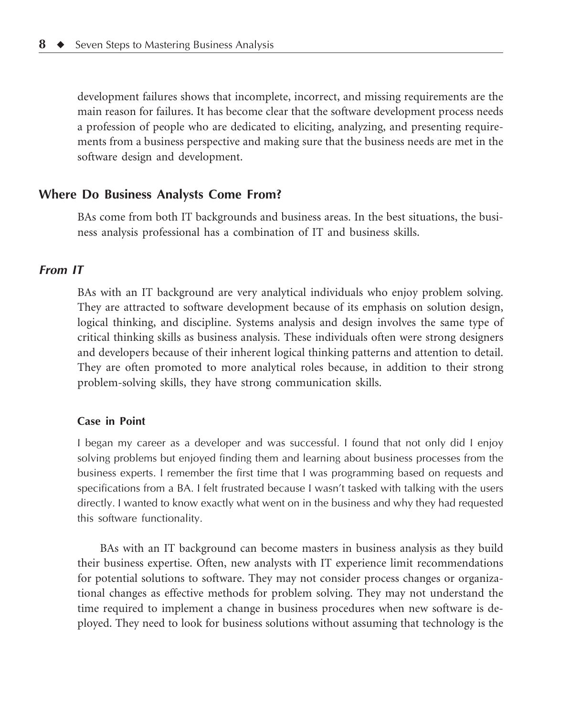development failures shows that incomplete, incorrect, and missing requirements are the main reason for failures. It has become clear that the software development process needs a profession of people who are dedicated to eliciting, analyzing, and presenting requirements from a business perspective and making sure that the business needs are met in the software design and development.

# **Where Do Business Analysts Come From?**

BAs come from both IT backgrounds and business areas. In the best situations, the business analysis professional has a combination of IT and business skills.

#### **From IT**

BAs with an IT background are very analytical individuals who enjoy problem solving. They are attracted to software development because of its emphasis on solution design, logical thinking, and discipline. Systems analysis and design involves the same type of critical thinking skills as business analysis. These individuals often were strong designers and developers because of their inherent logical thinking patterns and attention to detail. They are often promoted to more analytical roles because, in addition to their strong problem-solving skills, they have strong communication skills.

#### **Case in Point**

I began my career as a developer and was successful. I found that not only did I enjoy solving problems but enjoyed finding them and learning about business processes from the business experts. I remember the first time that I was programming based on requests and specifications from a BA. I felt frustrated because I wasn't tasked with talking with the users directly. I wanted to know exactly what went on in the business and why they had requested this software functionality.

BAs with an IT background can become masters in business analysis as they build their business expertise. Often, new analysts with IT experience limit recommendations for potential solutions to software. They may not consider process changes or organizational changes as effective methods for problem solving. They may not understand the time required to implement a change in business procedures when new software is deployed. They need to look for business solutions without assuming that technology is the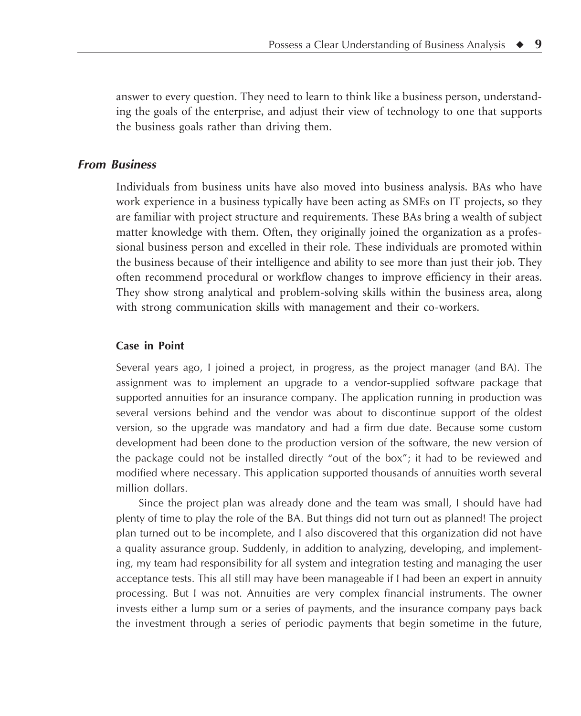answer to every question. They need to learn to think like a business person, understanding the goals of the enterprise, and adjust their view of technology to one that supports the business goals rather than driving them.

#### **From Business**

Individuals from business units have also moved into business analysis. BAs who have work experience in a business typically have been acting as SMEs on IT projects, so they are familiar with project structure and requirements. These BAs bring a wealth of subject matter knowledge with them. Often, they originally joined the organization as a professional business person and excelled in their role. These individuals are promoted within the business because of their intelligence and ability to see more than just their job. They often recommend procedural or workflow changes to improve efficiency in their areas. They show strong analytical and problem-solving skills within the business area, along with strong communication skills with management and their co-workers.

#### **Case in Point**

Several years ago, I joined a project, in progress, as the project manager (and BA). The assignment was to implement an upgrade to a vendor-supplied software package that supported annuities for an insurance company. The application running in production was several versions behind and the vendor was about to discontinue support of the oldest version, so the upgrade was mandatory and had a firm due date. Because some custom development had been done to the production version of the software, the new version of the package could not be installed directly "out of the box"; it had to be reviewed and modified where necessary. This application supported thousands of annuities worth several million dollars.

Since the project plan was already done and the team was small, I should have had plenty of time to play the role of the BA. But things did not turn out as planned! The project plan turned out to be incomplete, and I also discovered that this organization did not have a quality assurance group. Suddenly, in addition to analyzing, developing, and implementing, my team had responsibility for all system and integration testing and managing the user acceptance tests. This all still may have been manageable if I had been an expert in annuity processing. But I was not. Annuities are very complex financial instruments. The owner invests either a lump sum or a series of payments, and the insurance company pays back the investment through a series of periodic payments that begin sometime in the future,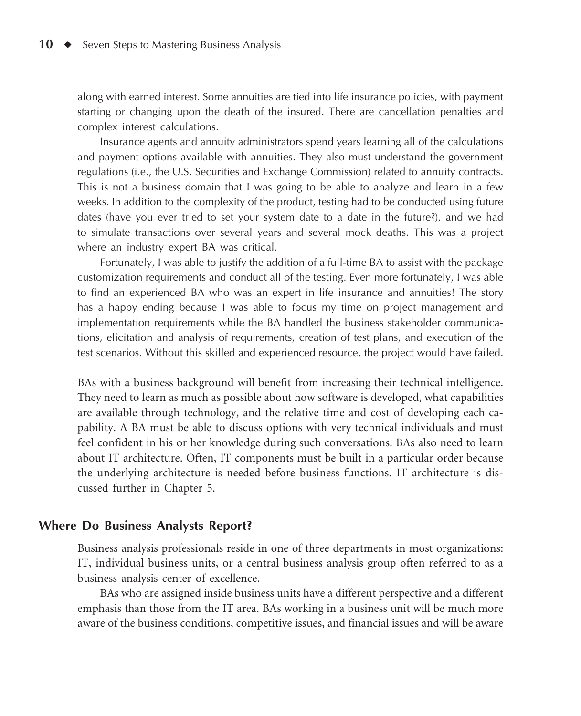along with earned interest. Some annuities are tied into life insurance policies, with payment starting or changing upon the death of the insured. There are cancellation penalties and complex interest calculations.

Insurance agents and annuity administrators spend years learning all of the calculations and payment options available with annuities. They also must understand the government regulations (i.e., the U.S. Securities and Exchange Commission) related to annuity contracts. This is not a business domain that I was going to be able to analyze and learn in a few weeks. In addition to the complexity of the product, testing had to be conducted using future dates (have you ever tried to set your system date to a date in the future?), and we had to simulate transactions over several years and several mock deaths. This was a project where an industry expert BA was critical.

Fortunately, I was able to justify the addition of a full-time BA to assist with the package customization requirements and conduct all of the testing. Even more fortunately, I was able to find an experienced BA who was an expert in life insurance and annuities! The story has a happy ending because I was able to focus my time on project management and implementation requirements while the BA handled the business stakeholder communications, elicitation and analysis of requirements, creation of test plans, and execution of the test scenarios. Without this skilled and experienced resource, the project would have failed.

BAs with a business background will benefit from increasing their technical intelligence. They need to learn as much as possible about how software is developed, what capabilities are available through technology, and the relative time and cost of developing each capability. A BA must be able to discuss options with very technical individuals and must feel confident in his or her knowledge during such conversations. BAs also need to learn about IT architecture. Often, IT components must be built in a particular order because the underlying architecture is needed before business functions. IT architecture is discussed further in Chapter 5.

# **Where Do Business Analysts Report?**

Business analysis professionals reside in one of three departments in most organizations: IT, individual business units, or a central business analysis group often referred to as a business analysis center of excellence.

BAs who are assigned inside business units have a different perspective and a different emphasis than those from the IT area. BAs working in a business unit will be much more aware of the business conditions, competitive issues, and financial issues and will be aware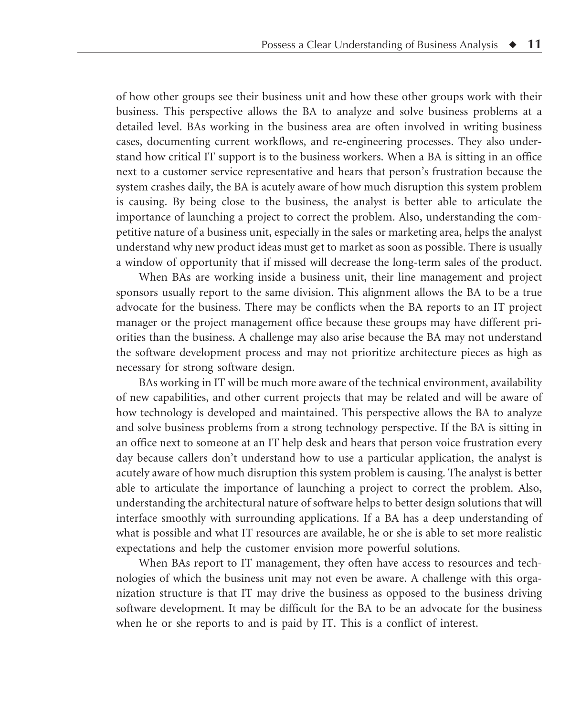of how other groups see their business unit and how these other groups work with their business. This perspective allows the BA to analyze and solve business problems at a detailed level. BAs working in the business area are often involved in writing business cases, documenting current workflows, and re-engineering processes. They also understand how critical IT support is to the business workers. When a BA is sitting in an office next to a customer service representative and hears that person's frustration because the system crashes daily, the BA is acutely aware of how much disruption this system problem is causing. By being close to the business, the analyst is better able to articulate the importance of launching a project to correct the problem. Also, understanding the competitive nature of a business unit, especially in the sales or marketing area, helps the analyst understand why new product ideas must get to market as soon as possible. There is usually a window of opportunity that if missed will decrease the long-term sales of the product.

When BAs are working inside a business unit, their line management and project sponsors usually report to the same division. This alignment allows the BA to be a true advocate for the business. There may be conflicts when the BA reports to an IT project manager or the project management office because these groups may have different priorities than the business. A challenge may also arise because the BA may not understand the software development process and may not prioritize architecture pieces as high as necessary for strong software design.

BAs working in IT will be much more aware of the technical environment, availability of new capabilities, and other current projects that may be related and will be aware of how technology is developed and maintained. This perspective allows the BA to analyze and solve business problems from a strong technology perspective. If the BA is sitting in an office next to someone at an IT help desk and hears that person voice frustration every day because callers don't understand how to use a particular application, the analyst is acutely aware of how much disruption this system problem is causing. The analyst is better able to articulate the importance of launching a project to correct the problem. Also, understanding the architectural nature of software helps to better design solutions that will interface smoothly with surrounding applications. If a BA has a deep understanding of what is possible and what IT resources are available, he or she is able to set more realistic expectations and help the customer envision more powerful solutions.

When BAs report to IT management, they often have access to resources and technologies of which the business unit may not even be aware. A challenge with this organization structure is that IT may drive the business as opposed to the business driving software development. It may be difficult for the BA to be an advocate for the business when he or she reports to and is paid by IT. This is a conflict of interest.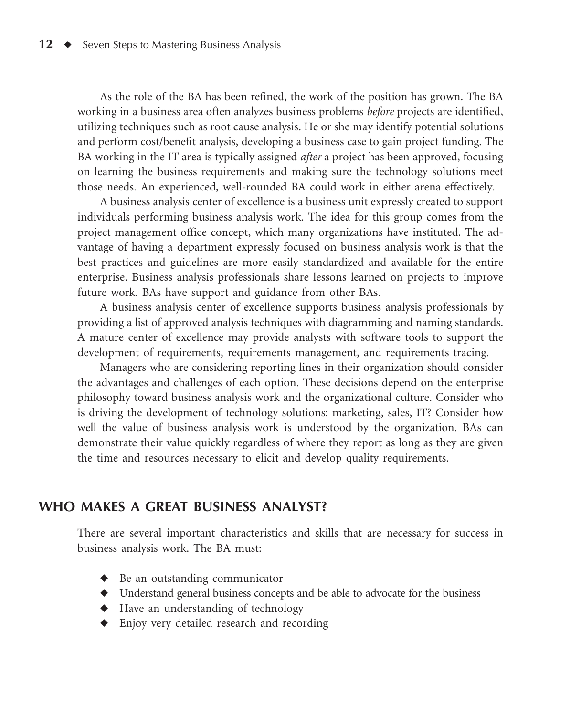As the role of the BA has been refined, the work of the position has grown. The BA working in a business area often analyzes business problems *before* projects are identified, utilizing techniques such as root cause analysis. He or she may identify potential solutions and perform cost/benefit analysis, developing a business case to gain project funding. The BA working in the IT area is typically assigned *after* a project has been approved, focusing on learning the business requirements and making sure the technology solutions meet those needs. An experienced, well-rounded BA could work in either arena effectively.

A business analysis center of excellence is a business unit expressly created to support individuals performing business analysis work. The idea for this group comes from the project management office concept, which many organizations have instituted. The advantage of having a department expressly focused on business analysis work is that the best practices and guidelines are more easily standardized and available for the entire enterprise. Business analysis professionals share lessons learned on projects to improve future work. BAs have support and guidance from other BAs.

A business analysis center of excellence supports business analysis professionals by providing a list of approved analysis techniques with diagramming and naming standards. A mature center of excellence may provide analysts with software tools to support the development of requirements, requirements management, and requirements tracing.

Managers who are considering reporting lines in their organization should consider the advantages and challenges of each option. These decisions depend on the enterprise philosophy toward business analysis work and the organizational culture. Consider who is driving the development of technology solutions: marketing, sales, IT? Consider how well the value of business analysis work is understood by the organization. BAs can demonstrate their value quickly regardless of where they report as long as they are given the time and resources necessary to elicit and develop quality requirements.

# **WHO MAKES A GREAT BUSINESS ANALYST?**

There are several important characteristics and skills that are necessary for success in business analysis work. The BA must:

- ◆ Be an outstanding communicator
- Understand general business concepts and be able to advocate for the business
- ◆ Have an understanding of technology
- Enjoy very detailed research and recording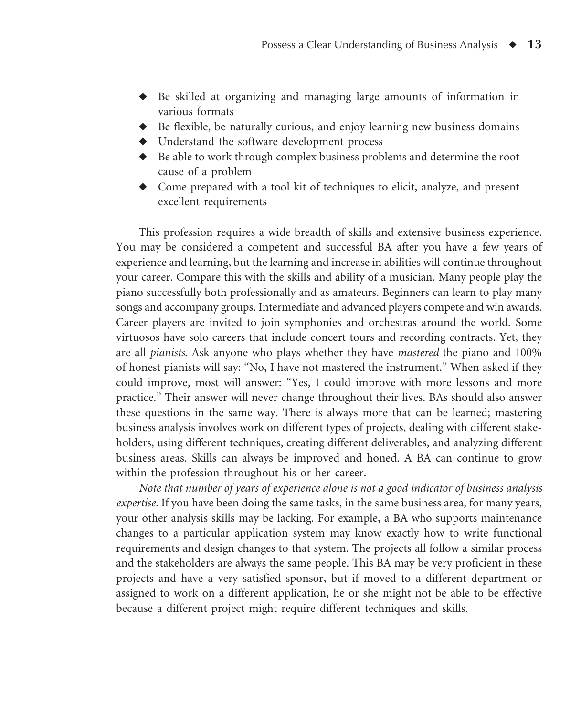- Be skilled at organizing and managing large amounts of information in various formats
- Be flexible, be naturally curious, and enjoy learning new business domains
- Understand the software development process
- Be able to work through complex business problems and determine the root cause of a problem
- Come prepared with a tool kit of techniques to elicit, analyze, and present excellent requirements

This profession requires a wide breadth of skills and extensive business experience. You may be considered a competent and successful BA after you have a few years of experience and learning, but the learning and increase in abilities will continue throughout your career. Compare this with the skills and ability of a musician. Many people play the piano successfully both professionally and as amateurs. Beginners can learn to play many songs and accompany groups. Intermediate and advanced players compete and win awards. Career players are invited to join symphonies and orchestras around the world. Some virtuosos have solo careers that include concert tours and recording contracts. Yet, they are all *pianists*. Ask anyone who plays whether they have *mastered* the piano and 100% of honest pianists will say: "No, I have not mastered the instrument." When asked if they could improve, most will answer: "Yes, I could improve with more lessons and more practice." Their answer will never change throughout their lives. BAs should also answer these questions in the same way. There is always more that can be learned; mastering business analysis involves work on different types of projects, dealing with different stakeholders, using different techniques, creating different deliverables, and analyzing different business areas. Skills can always be improved and honed. A BA can continue to grow within the profession throughout his or her career.

*Note that number of years of experience alone is not a good indicator of business analysis expertise.* If you have been doing the same tasks, in the same business area, for many years, your other analysis skills may be lacking. For example, a BA who supports maintenance changes to a particular application system may know exactly how to write functional requirements and design changes to that system. The projects all follow a similar process and the stakeholders are always the same people. This BA may be very proficient in these projects and have a very satisfied sponsor, but if moved to a different department or assigned to work on a different application, he or she might not be able to be effective because a different project might require different techniques and skills.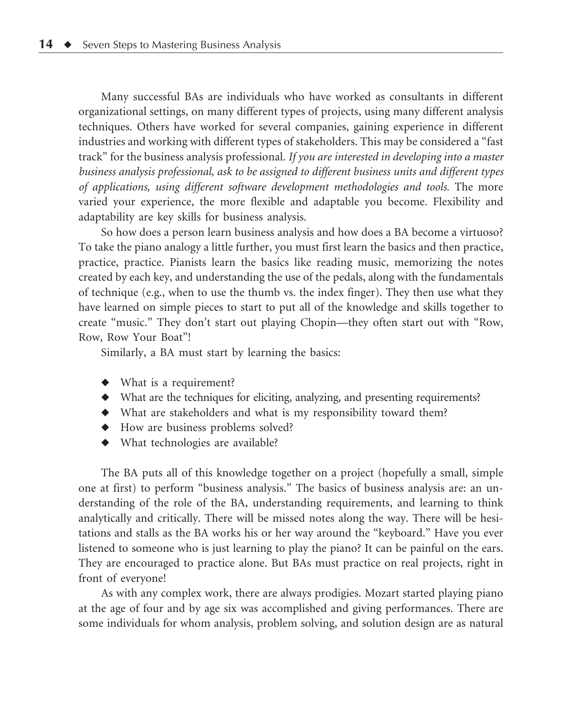Many successful BAs are individuals who have worked as consultants in different organizational settings, on many different types of projects, using many different analysis techniques. Others have worked for several companies, gaining experience in different industries and working with different types of stakeholders. This may be considered a "fast track" for the business analysis professional. *If you are interested in developing into a master business analysis professional, ask to be assigned to different business units and different types of applications, using different software development methodologies and tools.* The more varied your experience, the more flexible and adaptable you become. Flexibility and adaptability are key skills for business analysis.

So how does a person learn business analysis and how does a BA become a virtuoso? To take the piano analogy a little further, you must first learn the basics and then practice, practice, practice. Pianists learn the basics like reading music, memorizing the notes created by each key, and understanding the use of the pedals, along with the fundamentals of technique (e.g., when to use the thumb vs. the index finger). They then use what they have learned on simple pieces to start to put all of the knowledge and skills together to create "music." They don't start out playing Chopin—they often start out with "Row, Row, Row Your Boat"!

Similarly, a BA must start by learning the basics:

- What is a requirement?
- What are the techniques for eliciting, analyzing, and presenting requirements?
- What are stakeholders and what is my responsibility toward them?
- How are business problems solved?
- What technologies are available?

The BA puts all of this knowledge together on a project (hopefully a small, simple one at first) to perform "business analysis." The basics of business analysis are: an understanding of the role of the BA, understanding requirements, and learning to think analytically and critically. There will be missed notes along the way. There will be hesitations and stalls as the BA works his or her way around the "keyboard." Have you ever listened to someone who is just learning to play the piano? It can be painful on the ears. They are encouraged to practice alone. But BAs must practice on real projects, right in front of everyone!

As with any complex work, there are always prodigies. Mozart started playing piano at the age of four and by age six was accomplished and giving performances. There are some individuals for whom analysis, problem solving, and solution design are as natural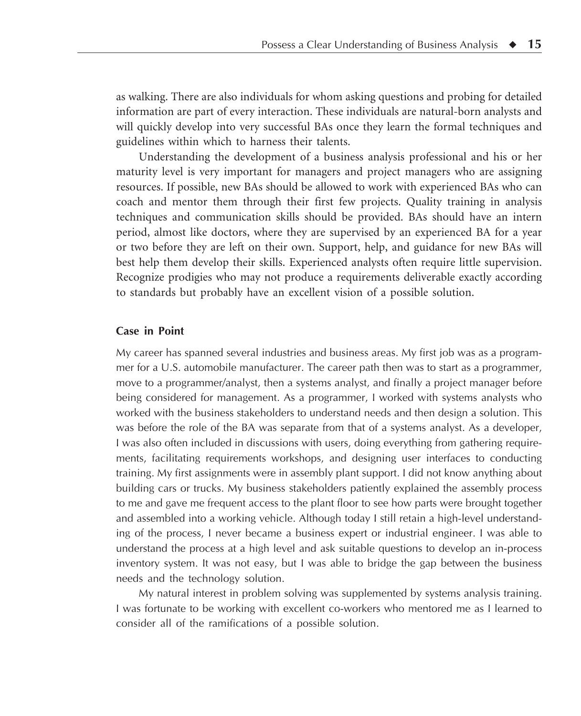as walking. There are also individuals for whom asking questions and probing for detailed information are part of every interaction. These individuals are natural-born analysts and will quickly develop into very successful BAs once they learn the formal techniques and guidelines within which to harness their talents.

Understanding the development of a business analysis professional and his or her maturity level is very important for managers and project managers who are assigning resources. If possible, new BAs should be allowed to work with experienced BAs who can coach and mentor them through their first few projects. Quality training in analysis techniques and communication skills should be provided. BAs should have an intern period, almost like doctors, where they are supervised by an experienced BA for a year or two before they are left on their own. Support, help, and guidance for new BAs will best help them develop their skills. Experienced analysts often require little supervision. Recognize prodigies who may not produce a requirements deliverable exactly according to standards but probably have an excellent vision of a possible solution.

#### **Case in Point**

My career has spanned several industries and business areas. My first job was as a programmer for a U.S. automobile manufacturer. The career path then was to start as a programmer, move to a programmer/analyst, then a systems analyst, and finally a project manager before being considered for management. As a programmer, I worked with systems analysts who worked with the business stakeholders to understand needs and then design a solution. This was before the role of the BA was separate from that of a systems analyst. As a developer, I was also often included in discussions with users, doing everything from gathering requirements, facilitating requirements workshops, and designing user interfaces to conducting training. My first assignments were in assembly plant support. I did not know anything about building cars or trucks. My business stakeholders patiently explained the assembly process to me and gave me frequent access to the plant floor to see how parts were brought together and assembled into a working vehicle. Although today I still retain a high-level understanding of the process, I never became a business expert or industrial engineer. I was able to understand the process at a high level and ask suitable questions to develop an in-process inventory system. It was not easy, but I was able to bridge the gap between the business needs and the technology solution.

My natural interest in problem solving was supplemented by systems analysis training. I was fortunate to be working with excellent co-workers who mentored me as I learned to consider all of the ramifications of a possible solution.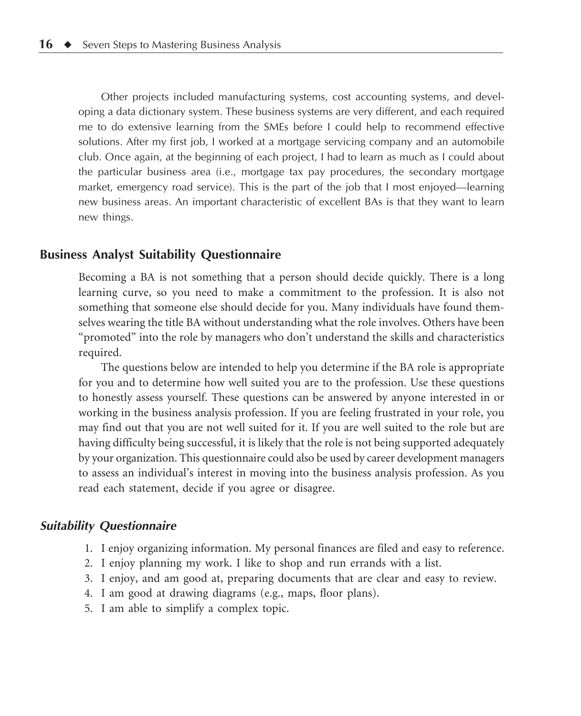Other projects included manufacturing systems, cost accounting systems, and developing a data dictionary system. These business systems are very different, and each required me to do extensive learning from the SMEs before I could help to recommend effective solutions. After my first job, I worked at a mortgage servicing company and an automobile club. Once again, at the beginning of each project, I had to learn as much as I could about the particular business area (i.e., mortgage tax pay procedures, the secondary mortgage market, emergency road service). This is the part of the job that I most enjoyed—learning new business areas. An important characteristic of excellent BAs is that they want to learn new things.

# **Business Analyst Suitability Questionnaire**

Becoming a BA is not something that a person should decide quickly. There is a long learning curve, so you need to make a commitment to the profession. It is also not something that someone else should decide for you. Many individuals have found themselves wearing the title BA without understanding what the role involves. Others have been "promoted" into the role by managers who don't understand the skills and characteristics required.

The questions below are intended to help you determine if the BA role is appropriate for you and to determine how well suited you are to the profession. Use these questions to honestly assess yourself. These questions can be answered by anyone interested in or working in the business analysis profession. If you are feeling frustrated in your role, you may find out that you are not well suited for it. If you are well suited to the role but are having difficulty being successful, it is likely that the role is not being supported adequately by your organization. This questionnaire could also be used by career development managers to assess an individual's interest in moving into the business analysis profession. As you read each statement, decide if you agree or disagree.

#### **Suitability Questionnaire**

- 1. I enjoy organizing information. My personal finances are filed and easy to reference.
- 2. I enjoy planning my work. I like to shop and run errands with a list.
- 3. I enjoy, and am good at, preparing documents that are clear and easy to review.
- 4. I am good at drawing diagrams (e.g., maps, floor plans).
- 5. I am able to simplify a complex topic.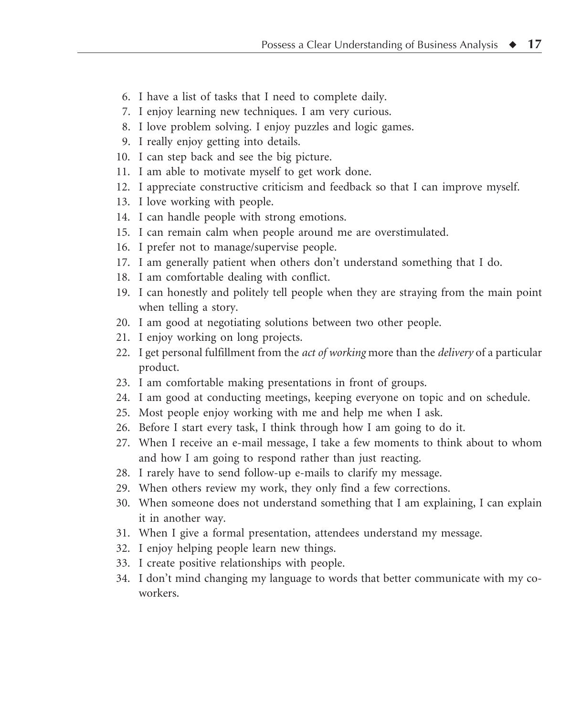- 6. I have a list of tasks that I need to complete daily.
- 7. I enjoy learning new techniques. I am very curious.
- 8. I love problem solving. I enjoy puzzles and logic games.
- 9. I really enjoy getting into details.
- 10. I can step back and see the big picture.
- 11. I am able to motivate myself to get work done.
- 12. I appreciate constructive criticism and feedback so that I can improve myself.
- 13. I love working with people.
- 14. I can handle people with strong emotions.
- 15. I can remain calm when people around me are overstimulated.
- 16. I prefer not to manage/supervise people.
- 17. I am generally patient when others don't understand something that I do.
- 18. I am comfortable dealing with conflict.
- 19. I can honestly and politely tell people when they are straying from the main point when telling a story.
- 20. I am good at negotiating solutions between two other people.
- 21. I enjoy working on long projects.
- 22. I get personal fulfillment from the *act of working* more than the *delivery* of a particular product.
- 23. I am comfortable making presentations in front of groups.
- 24. I am good at conducting meetings, keeping everyone on topic and on schedule.
- 25. Most people enjoy working with me and help me when I ask.
- 26. Before I start every task, I think through how I am going to do it.
- 27. When I receive an e-mail message, I take a few moments to think about to whom and how I am going to respond rather than just reacting.
- 28. I rarely have to send follow-up e-mails to clarify my message.
- 29. When others review my work, they only find a few corrections.
- 30. When someone does not understand something that I am explaining, I can explain it in another way.
- 31. When I give a formal presentation, attendees understand my message.
- 32. I enjoy helping people learn new things.
- 33. I create positive relationships with people.
- 34. I don't mind changing my language to words that better communicate with my coworkers.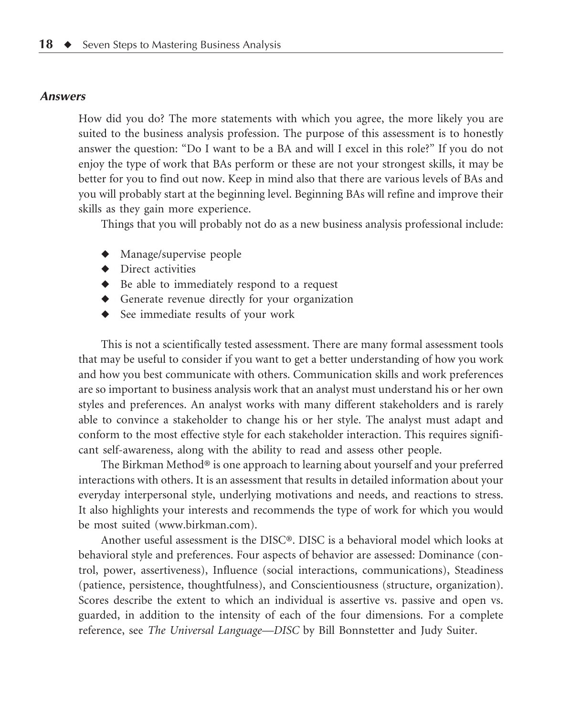#### **Answers**

How did you do? The more statements with which you agree, the more likely you are suited to the business analysis profession. The purpose of this assessment is to honestly answer the question: "Do I want to be a BA and will I excel in this role?" If you do not enjoy the type of work that BAs perform or these are not your strongest skills, it may be better for you to find out now. Keep in mind also that there are various levels of BAs and you will probably start at the beginning level. Beginning BAs will refine and improve their skills as they gain more experience.

Things that you will probably not do as a new business analysis professional include:

- ◆ Manage/supervise people
- **←** Direct activities
- ◆ Be able to immediately respond to a request
- Generate revenue directly for your organization
- See immediate results of your work

This is not a scientifically tested assessment. There are many formal assessment tools that may be useful to consider if you want to get a better understanding of how you work and how you best communicate with others. Communication skills and work preferences are so important to business analysis work that an analyst must understand his or her own styles and preferences. An analyst works with many different stakeholders and is rarely able to convince a stakeholder to change his or her style. The analyst must adapt and conform to the most effective style for each stakeholder interaction. This requires significant self-awareness, along with the ability to read and assess other people.

The Birkman Method® is one approach to learning about yourself and your preferred interactions with others. It is an assessment that results in detailed information about your everyday interpersonal style, underlying motivations and needs, and reactions to stress. It also highlights your interests and recommends the type of work for which you would be most suited (www.birkman.com).

Another useful assessment is the DISC®. DISC is a behavioral model which looks at behavioral style and preferences. Four aspects of behavior are assessed: Dominance (control, power, assertiveness), Influence (social interactions, communications), Steadiness (patience, persistence, thoughtfulness), and Conscientiousness (structure, organization). Scores describe the extent to which an individual is assertive vs. passive and open vs. guarded, in addition to the intensity of each of the four dimensions. For a complete reference, see *The Universal Language—DISC* by Bill Bonnstetter and Judy Suiter.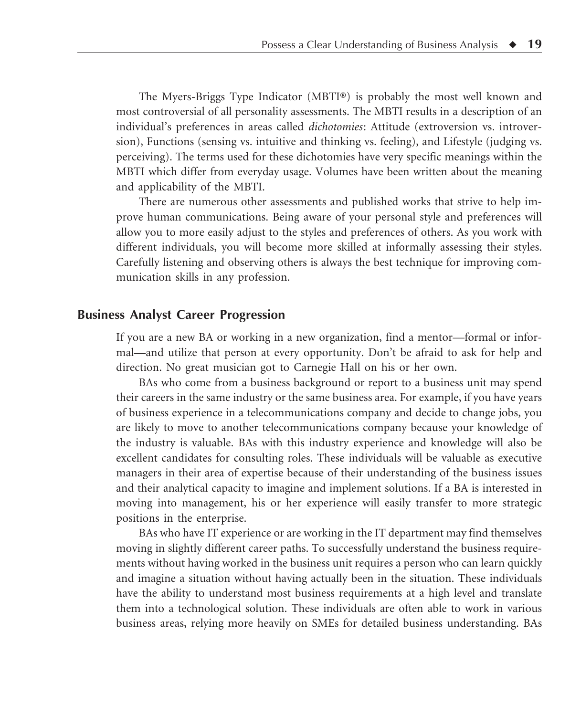The Myers-Briggs Type Indicator (MBTI®) is probably the most well known and most controversial of all personality assessments. The MBTI results in a description of an individual's preferences in areas called *dichotomies*: Attitude (extroversion vs. introversion), Functions (sensing vs. intuitive and thinking vs. feeling), and Lifestyle (judging vs. perceiving). The terms used for these dichotomies have very specific meanings within the MBTI which differ from everyday usage. Volumes have been written about the meaning and applicability of the MBTI.

There are numerous other assessments and published works that strive to help improve human communications. Being aware of your personal style and preferences will allow you to more easily adjust to the styles and preferences of others. As you work with different individuals, you will become more skilled at informally assessing their styles. Carefully listening and observing others is always the best technique for improving communication skills in any profession.

#### **Business Analyst Career Progression**

If you are a new BA or working in a new organization, find a mentor—formal or informal—and utilize that person at every opportunity. Don't be afraid to ask for help and direction. No great musician got to Carnegie Hall on his or her own.

BAs who come from a business background or report to a business unit may spend their careers in the same industry or the same business area. For example, if you have years of business experience in a telecommunications company and decide to change jobs, you are likely to move to another telecommunications company because your knowledge of the industry is valuable. BAs with this industry experience and knowledge will also be excellent candidates for consulting roles. These individuals will be valuable as executive managers in their area of expertise because of their understanding of the business issues and their analytical capacity to imagine and implement solutions. If a BA is interested in moving into management, his or her experience will easily transfer to more strategic positions in the enterprise.

BAs who have IT experience or are working in the IT department may find themselves moving in slightly different career paths. To successfully understand the business requirements without having worked in the business unit requires a person who can learn quickly and imagine a situation without having actually been in the situation. These individuals have the ability to understand most business requirements at a high level and translate them into a technological solution. These individuals are often able to work in various business areas, relying more heavily on SMEs for detailed business understanding. BAs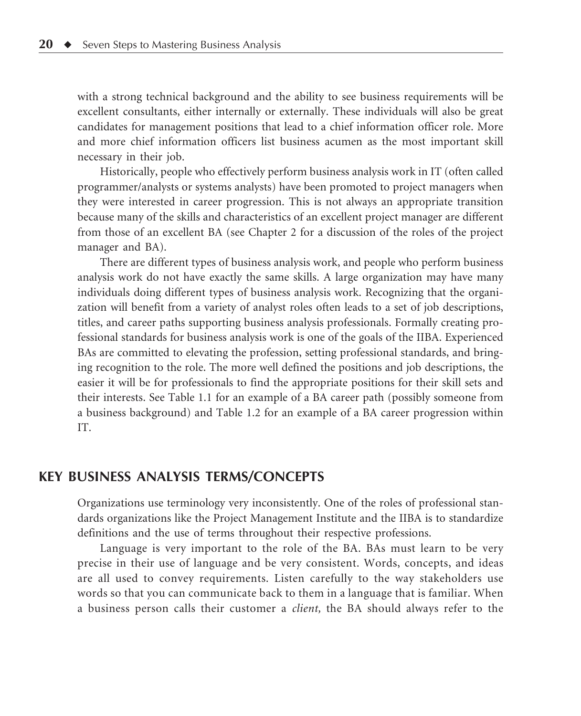with a strong technical background and the ability to see business requirements will be excellent consultants, either internally or externally. These individuals will also be great candidates for management positions that lead to a chief information officer role. More and more chief information officers list business acumen as the most important skill necessary in their job.

Historically, people who effectively perform business analysis work in IT (often called programmer/analysts or systems analysts) have been promoted to project managers when they were interested in career progression. This is not always an appropriate transition because many of the skills and characteristics of an excellent project manager are different from those of an excellent BA (see Chapter 2 for a discussion of the roles of the project manager and BA).

There are different types of business analysis work, and people who perform business analysis work do not have exactly the same skills. A large organization may have many individuals doing different types of business analysis work. Recognizing that the organization will benefit from a variety of analyst roles often leads to a set of job descriptions, titles, and career paths supporting business analysis professionals. Formally creating professional standards for business analysis work is one of the goals of the IIBA. Experienced BAs are committed to elevating the profession, setting professional standards, and bringing recognition to the role. The more well defined the positions and job descriptions, the easier it will be for professionals to find the appropriate positions for their skill sets and their interests. See Table 1.1 for an example of a BA career path (possibly someone from a business background) and Table 1.2 for an example of a BA career progression within IT.

# **KEY BUSINESS ANALYSIS TERMS/CONCEPTS**

Organizations use terminology very inconsistently. One of the roles of professional standards organizations like the Project Management Institute and the IIBA is to standardize definitions and the use of terms throughout their respective professions.

Language is very important to the role of the BA. BAs must learn to be very precise in their use of language and be very consistent. Words, concepts, and ideas are all used to convey requirements. Listen carefully to the way stakeholders use words so that you can communicate back to them in a language that is familiar. When a business person calls their customer a *client,* the BA should always refer to the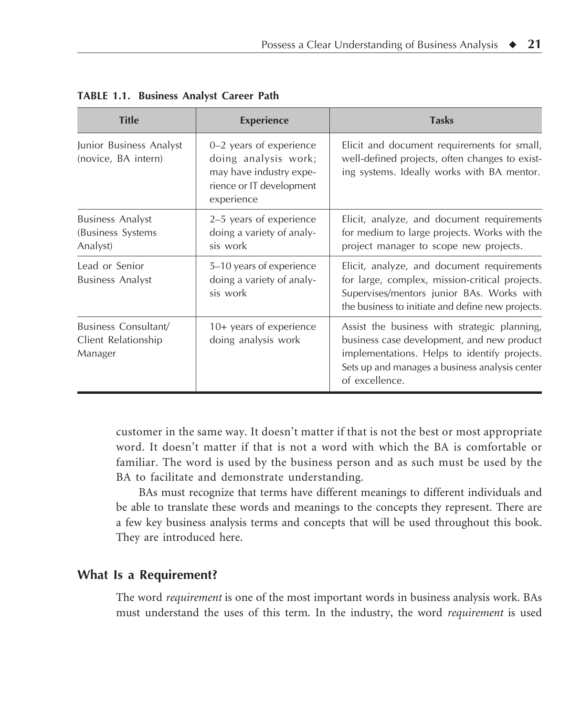| <b>Title</b>                                              | <b>Experience</b>                                                                                                    | <b>Tasks</b>                                                                                                                                                                                                   |  |
|-----------------------------------------------------------|----------------------------------------------------------------------------------------------------------------------|----------------------------------------------------------------------------------------------------------------------------------------------------------------------------------------------------------------|--|
| Junior Business Analyst<br>(novice, BA intern)            | 0–2 years of experience<br>doing analysis work;<br>may have industry expe-<br>rience or IT development<br>experience | Elicit and document requirements for small,<br>well-defined projects, often changes to exist-<br>ing systems. Ideally works with BA mentor.                                                                    |  |
| <b>Business Analyst</b><br>(Business Systems)<br>Analyst) | 2–5 years of experience<br>doing a variety of analy-<br>sis work                                                     | Elicit, analyze, and document requirements<br>for medium to large projects. Works with the<br>project manager to scope new projects.                                                                           |  |
| Lead or Senior<br><b>Business Analyst</b>                 | 5–10 years of experience<br>doing a variety of analy-<br>sis work                                                    | Elicit, analyze, and document requirements<br>for large, complex, mission-critical projects.<br>Supervises/mentors junior BAs. Works with<br>the business to initiate and define new projects.                 |  |
| Business Consultant/<br>Client Relationship<br>Manager    | 10+ years of experience<br>doing analysis work                                                                       | Assist the business with strategic planning,<br>business case development, and new product<br>implementations. Helps to identify projects.<br>Sets up and manages a business analysis center<br>of excellence. |  |

**TABLE 1.1. Business Analyst Career Path**

customer in the same way. It doesn't matter if that is not the best or most appropriate word. It doesn't matter if that is not a word with which the BA is comfortable or familiar. The word is used by the business person and as such must be used by the BA to facilitate and demonstrate understanding.

BAs must recognize that terms have different meanings to different individuals and be able to translate these words and meanings to the concepts they represent. There are a few key business analysis terms and concepts that will be used throughout this book. They are introduced here.

# **What Is a Requirement?**

The word *requirement* is one of the most important words in business analysis work. BAs must understand the uses of this term. In the industry, the word *requirement* is used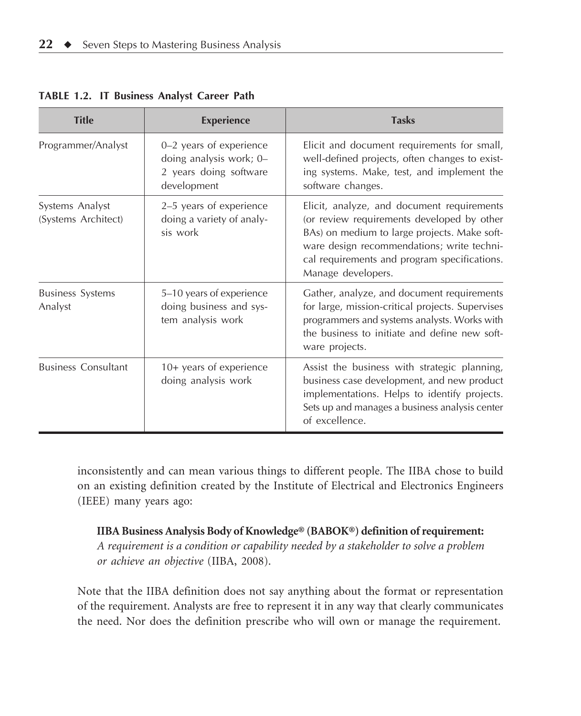| <b>Title</b>                           | <b>Experience</b>                                                                           | <b>Tasks</b>                                                                                                                                                                                                                                                 |
|----------------------------------------|---------------------------------------------------------------------------------------------|--------------------------------------------------------------------------------------------------------------------------------------------------------------------------------------------------------------------------------------------------------------|
| Programmer/Analyst                     | 0-2 years of experience<br>doing analysis work; 0-<br>2 years doing software<br>development | Elicit and document requirements for small,<br>well-defined projects, often changes to exist-<br>ing systems. Make, test, and implement the<br>software changes.                                                                                             |
| Systems Analyst<br>(Systems Architect) | 2-5 years of experience<br>doing a variety of analy-<br>sis work                            | Elicit, analyze, and document requirements<br>(or review requirements developed by other<br>BAs) on medium to large projects. Make soft-<br>ware design recommendations; write techni-<br>cal requirements and program specifications.<br>Manage developers. |
| <b>Business Systems</b><br>Analyst     | 5-10 years of experience<br>doing business and sys-<br>tem analysis work                    | Gather, analyze, and document requirements<br>for large, mission-critical projects. Supervises<br>programmers and systems analysts. Works with<br>the business to initiate and define new soft-<br>ware projects.                                            |
| <b>Business Consultant</b>             | 10+ years of experience<br>doing analysis work                                              | Assist the business with strategic planning,<br>business case development, and new product<br>implementations. Helps to identify projects.<br>Sets up and manages a business analysis center<br>of excellence.                                               |

**TABLE 1.2. IT Business Analyst Career Path**

inconsistently and can mean various things to different people. The IIBA chose to build on an existing definition created by the Institute of Electrical and Electronics Engineers (IEEE) many years ago:

**IIBA Business Analysis Body of Knowledge® (BABOK®) definition of requirement:** *A requirement is a condition or capability needed by a stakeholder to solve a problem or achieve an objective* (IIBA, 2008).

Note that the IIBA definition does not say anything about the format or representation of the requirement. Analysts are free to represent it in any way that clearly communicates the need. Nor does the definition prescribe who will own or manage the requirement.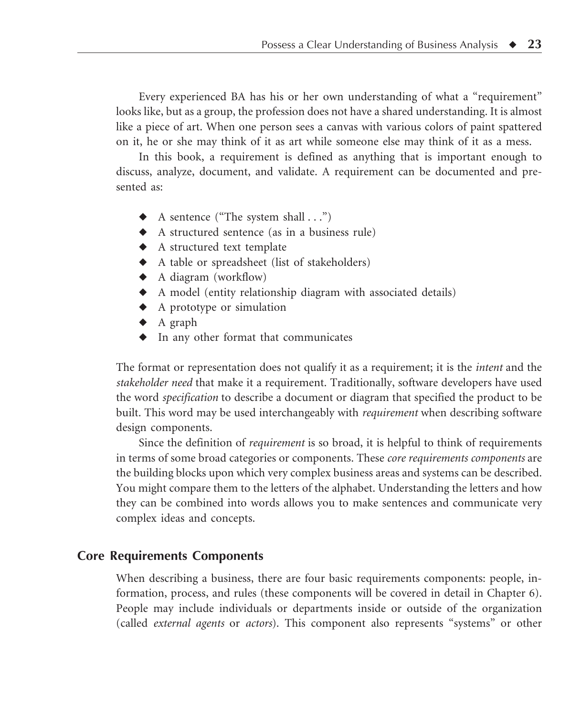Every experienced BA has his or her own understanding of what a "requirement" looks like, but as a group, the profession does not have a shared understanding. It is almost like a piece of art. When one person sees a canvas with various colors of paint spattered on it, he or she may think of it as art while someone else may think of it as a mess.

In this book, a requirement is defined as anything that is important enough to discuss, analyze, document, and validate. A requirement can be documented and presented as:

- A sentence ("The system shall . . .")
- A structured sentence (as in a business rule)
- A structured text template
- A table or spreadsheet (list of stakeholders)
- A diagram (workflow)
- A model (entity relationship diagram with associated details)
- A prototype or simulation
- ◆ A graph
- In any other format that communicates

The format or representation does not qualify it as a requirement; it is the *intent* and the *stakeholder need* that make it a requirement. Traditionally, software developers have used the word *specification* to describe a document or diagram that specified the product to be built. This word may be used interchangeably with *requirement* when describing software design components.

Since the definition of *requirement* is so broad, it is helpful to think of requirements in terms of some broad categories or components. These *core requirements components* are the building blocks upon which very complex business areas and systems can be described. You might compare them to the letters of the alphabet. Understanding the letters and how they can be combined into words allows you to make sentences and communicate very complex ideas and concepts.

#### **Core Requirements Components**

When describing a business, there are four basic requirements components: people, information, process, and rules (these components will be covered in detail in Chapter 6). People may include individuals or departments inside or outside of the organization (called *external agents* or *actors*). This component also represents "systems" or other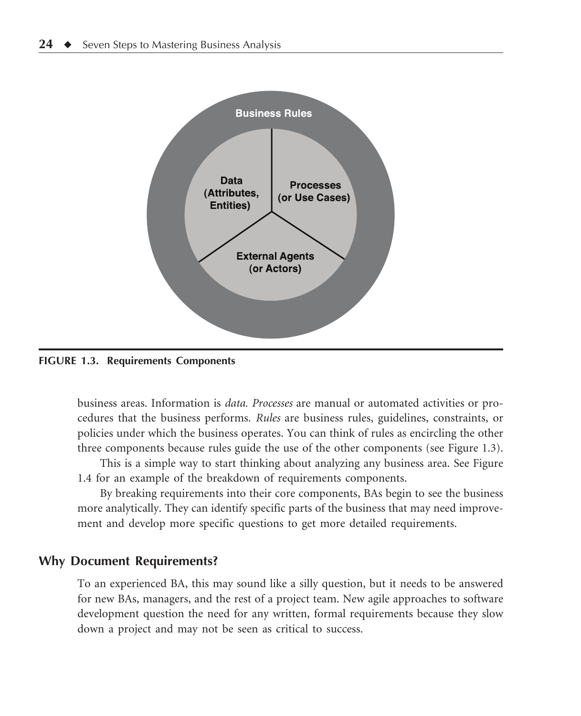

**FIGURE 1.3. Requirements Components**

business areas. Information is *data. Processes* are manual or automated activities or procedures that the business performs. *Rules* are business rules, guidelines, constraints, or policies under which the business operates. You can think of rules as encircling the other three components because rules guide the use of the other components (see Figure 1.3).

This is a simple way to start thinking about analyzing any business area. See Figure 1.4 for an example of the breakdown of requirements components.

By breaking requirements into their core components, BAs begin to see the business more analytically. They can identify specific parts of the business that may need improvement and develop more specific questions to get more detailed requirements.

# **Why Document Requirements?**

To an experienced BA, this may sound like a silly question, but it needs to be answered for new BAs, managers, and the rest of a project team. New agile approaches to software development question the need for any written, formal requirements because they slow down a project and may not be seen as critical to success.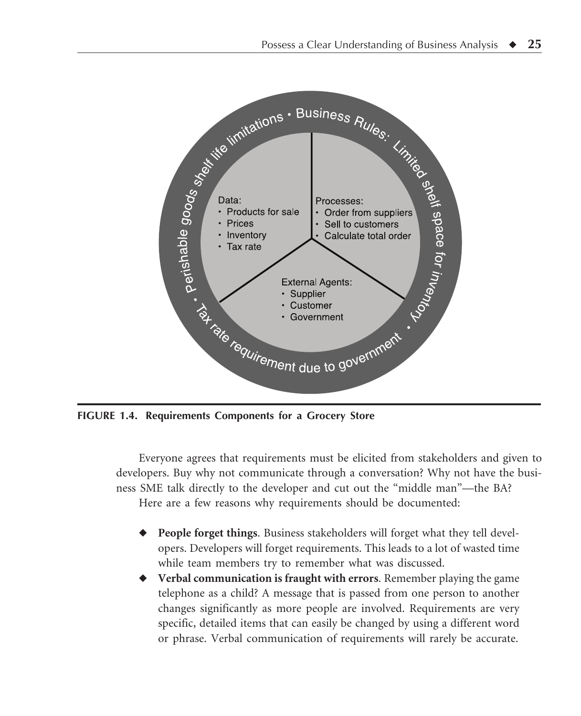

**FIGURE 1.4. Requirements Components for a Grocery Store**

Everyone agrees that requirements must be elicited from stakeholders and given to developers. Buy why not communicate through a conversation? Why not have the business SME talk directly to the developer and cut out the "middle man"—the BA? Here are a few reasons why requirements should be documented:

- **People forget things**. Business stakeholders will forget what they tell developers. Developers will forget requirements. This leads to a lot of wasted time while team members try to remember what was discussed.
- **Verbal communication is fraught with errors**. Remember playing the game telephone as a child? A message that is passed from one person to another changes significantly as more people are involved. Requirements are very specific, detailed items that can easily be changed by using a different word or phrase. Verbal communication of requirements will rarely be accurate.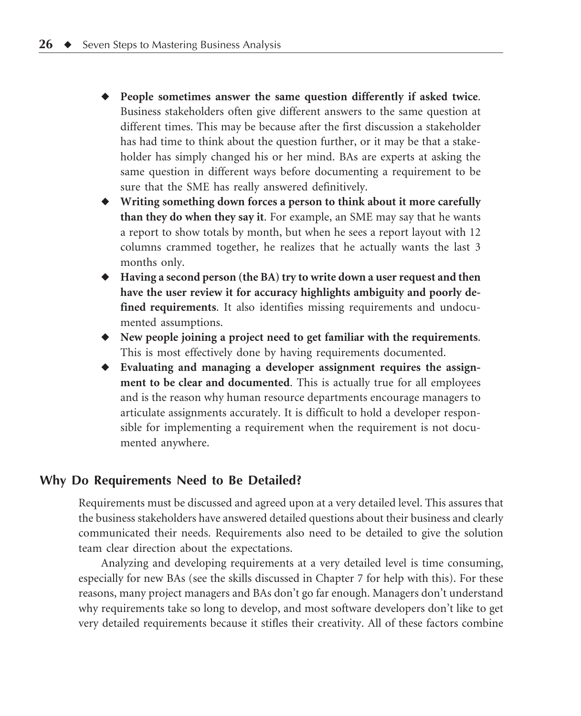- **People sometimes answer the same question differently if asked twice**. Business stakeholders often give different answers to the same question at different times. This may be because after the first discussion a stakeholder has had time to think about the question further, or it may be that a stakeholder has simply changed his or her mind. BAs are experts at asking the same question in different ways before documenting a requirement to be sure that the SME has really answered definitively.
- **Writing something down forces a person to think about it more carefully than they do when they say it**. For example, an SME may say that he wants a report to show totals by month, but when he sees a report layout with 12 columns crammed together, he realizes that he actually wants the last 3 months only.
- **Having a second person (the BA) try to write down a user request and then have the user review it for accuracy highlights ambiguity and poorly defined requirements**. It also identifies missing requirements and undocumented assumptions.
- **New people joining a project need to get familiar with the requirements**. This is most effectively done by having requirements documented.
- **Evaluating and managing a developer assignment requires the assignment to be clear and documented**. This is actually true for all employees and is the reason why human resource departments encourage managers to articulate assignments accurately. It is difficult to hold a developer responsible for implementing a requirement when the requirement is not documented anywhere.

# **Why Do Requirements Need to Be Detailed?**

Requirements must be discussed and agreed upon at a very detailed level. This assures that the business stakeholders have answered detailed questions about their business and clearly communicated their needs. Requirements also need to be detailed to give the solution team clear direction about the expectations.

Analyzing and developing requirements at a very detailed level is time consuming, especially for new BAs (see the skills discussed in Chapter 7 for help with this). For these reasons, many project managers and BAs don't go far enough. Managers don't understand why requirements take so long to develop, and most software developers don't like to get very detailed requirements because it stifles their creativity. All of these factors combine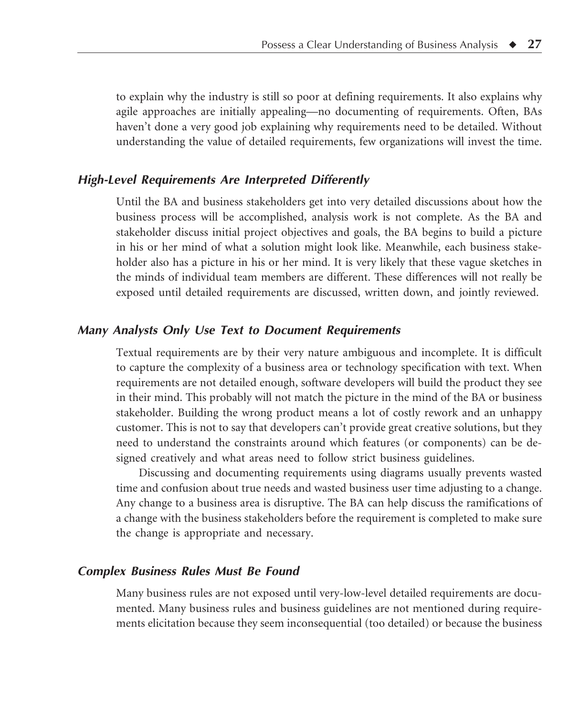to explain why the industry is still so poor at defining requirements. It also explains why agile approaches are initially appealing—no documenting of requirements. Often, BAs haven't done a very good job explaining why requirements need to be detailed. Without understanding the value of detailed requirements, few organizations will invest the time.

#### **High-Level Requirements Are Interpreted Differently**

Until the BA and business stakeholders get into very detailed discussions about how the business process will be accomplished, analysis work is not complete. As the BA and stakeholder discuss initial project objectives and goals, the BA begins to build a picture in his or her mind of what a solution might look like. Meanwhile, each business stakeholder also has a picture in his or her mind. It is very likely that these vague sketches in the minds of individual team members are different. These differences will not really be exposed until detailed requirements are discussed, written down, and jointly reviewed.

#### **Many Analysts Only Use Text to Document Requirements**

Textual requirements are by their very nature ambiguous and incomplete. It is difficult to capture the complexity of a business area or technology specification with text. When requirements are not detailed enough, software developers will build the product they see in their mind. This probably will not match the picture in the mind of the BA or business stakeholder. Building the wrong product means a lot of costly rework and an unhappy customer. This is not to say that developers can't provide great creative solutions, but they need to understand the constraints around which features (or components) can be designed creatively and what areas need to follow strict business guidelines.

Discussing and documenting requirements using diagrams usually prevents wasted time and confusion about true needs and wasted business user time adjusting to a change. Any change to a business area is disruptive. The BA can help discuss the ramifications of a change with the business stakeholders before the requirement is completed to make sure the change is appropriate and necessary.

#### **Complex Business Rules Must Be Found**

Many business rules are not exposed until very-low-level detailed requirements are documented. Many business rules and business guidelines are not mentioned during requirements elicitation because they seem inconsequential (too detailed) or because the business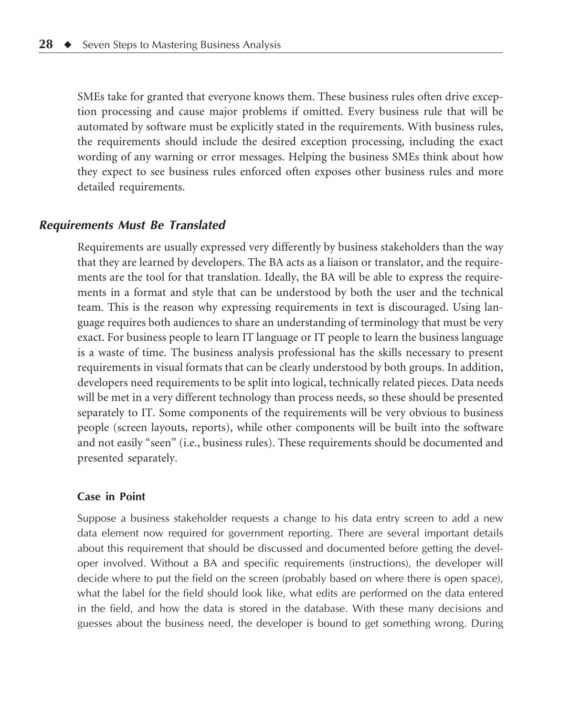SMEs take for granted that everyone knows them. These business rules often drive exception processing and cause major problems if omitted. Every business rule that will be automated by software must be explicitly stated in the requirements. With business rules, the requirements should include the desired exception processing, including the exact wording of any warning or error messages. Helping the business SMEs think about how they expect to see business rules enforced often exposes other business rules and more detailed requirements.

#### **Requirements Must Be Translated**

Requirements are usually expressed very differently by business stakeholders than the way that they are learned by developers. The BA acts as a liaison or translator, and the requirements are the tool for that translation. Ideally, the BA will be able to express the requirements in a format and style that can be understood by both the user and the technical team. This is the reason why expressing requirements in text is discouraged. Using language requires both audiences to share an understanding of terminology that must be very exact. For business people to learn IT language or IT people to learn the business language is a waste of time. The business analysis professional has the skills necessary to present requirements in visual formats that can be clearly understood by both groups. In addition, developers need requirements to be split into logical, technically related pieces. Data needs will be met in a very different technology than process needs, so these should be presented separately to IT. Some components of the requirements will be very obvious to business people (screen layouts, reports), while other components will be built into the software and not easily "seen" (i.e., business rules). These requirements should be documented and presented separately.

#### **Case in Point**

Suppose a business stakeholder requests a change to his data entry screen to add a new data element now required for government reporting. There are several important details about this requirement that should be discussed and documented before getting the developer involved. Without a BA and specific requirements (instructions), the developer will decide where to put the field on the screen (probably based on where there is open space), what the label for the field should look like, what edits are performed on the data entered in the field, and how the data is stored in the database. With these many decisions and guesses about the business need, the developer is bound to get something wrong. During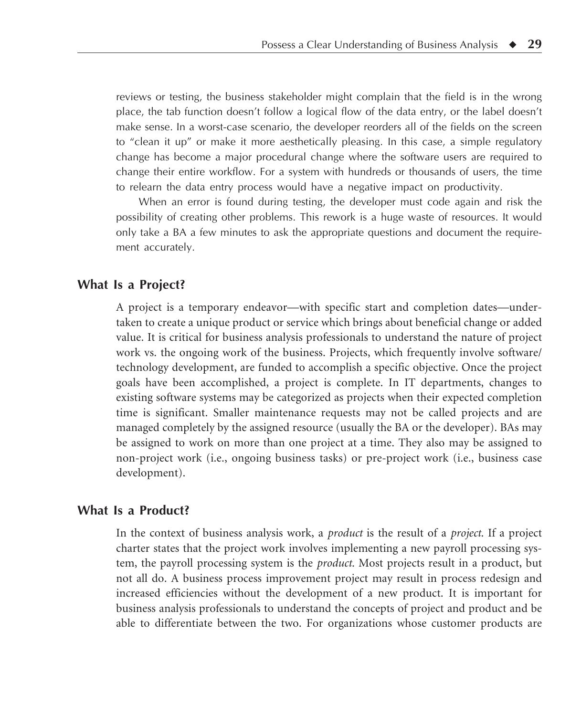reviews or testing, the business stakeholder might complain that the field is in the wrong place, the tab function doesn't follow a logical flow of the data entry, or the label doesn't make sense. In a worst-case scenario, the developer reorders all of the fields on the screen to "clean it up" or make it more aesthetically pleasing. In this case, a simple regulatory change has become a major procedural change where the software users are required to change their entire workflow. For a system with hundreds or thousands of users, the time to relearn the data entry process would have a negative impact on productivity.

When an error is found during testing, the developer must code again and risk the possibility of creating other problems. This rework is a huge waste of resources. It would only take a BA a few minutes to ask the appropriate questions and document the requirement accurately.

#### **What Is a Project?**

A project is a temporary endeavor—with specific start and completion dates—undertaken to create a unique product or service which brings about beneficial change or added value. It is critical for business analysis professionals to understand the nature of project work vs. the ongoing work of the business. Projects, which frequently involve software/ technology development, are funded to accomplish a specific objective. Once the project goals have been accomplished, a project is complete. In IT departments, changes to existing software systems may be categorized as projects when their expected completion time is significant. Smaller maintenance requests may not be called projects and are managed completely by the assigned resource (usually the BA or the developer). BAs may be assigned to work on more than one project at a time. They also may be assigned to non-project work (i.e., ongoing business tasks) or pre-project work (i.e., business case development).

# **What Is a Product?**

In the context of business analysis work, a *product* is the result of a *project*. If a project charter states that the project work involves implementing a new payroll processing system, the payroll processing system is the *product*. Most projects result in a product, but not all do. A business process improvement project may result in process redesign and increased efficiencies without the development of a new product. It is important for business analysis professionals to understand the concepts of project and product and be able to differentiate between the two. For organizations whose customer products are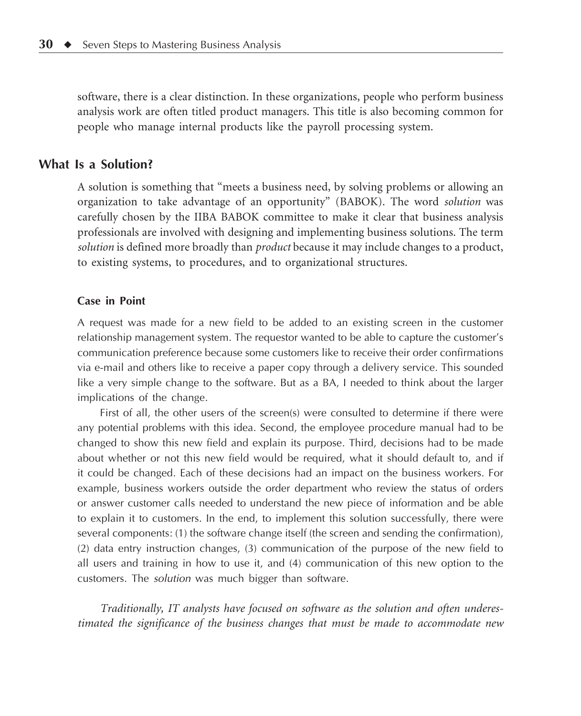software, there is a clear distinction. In these organizations, people who perform business analysis work are often titled product managers. This title is also becoming common for people who manage internal products like the payroll processing system.

#### **What Is a Solution?**

A solution is something that "meets a business need, by solving problems or allowing an organization to take advantage of an opportunity" (BABOK). The word *solution* was carefully chosen by the IIBA BABOK committee to make it clear that business analysis professionals are involved with designing and implementing business solutions. The term *solution* is defined more broadly than *product* because it may include changes to a product, to existing systems, to procedures, and to organizational structures.

#### **Case in Point**

A request was made for a new field to be added to an existing screen in the customer relationship management system. The requestor wanted to be able to capture the customer's communication preference because some customers like to receive their order confirmations via e-mail and others like to receive a paper copy through a delivery service. This sounded like a very simple change to the software. But as a BA, I needed to think about the larger implications of the change.

First of all, the other users of the screen(s) were consulted to determine if there were any potential problems with this idea. Second, the employee procedure manual had to be changed to show this new field and explain its purpose. Third, decisions had to be made about whether or not this new field would be required, what it should default to, and if it could be changed. Each of these decisions had an impact on the business workers. For example, business workers outside the order department who review the status of orders or answer customer calls needed to understand the new piece of information and be able to explain it to customers. In the end, to implement this solution successfully, there were several components: (1) the software change itself (the screen and sending the confirmation), (2) data entry instruction changes, (3) communication of the purpose of the new field to all users and training in how to use it, and (4) communication of this new option to the customers. The solution was much bigger than software.

*Traditionally, IT analysts have focused on software as the solution and often underestimated the significance of the business changes that must be made to accommodate new*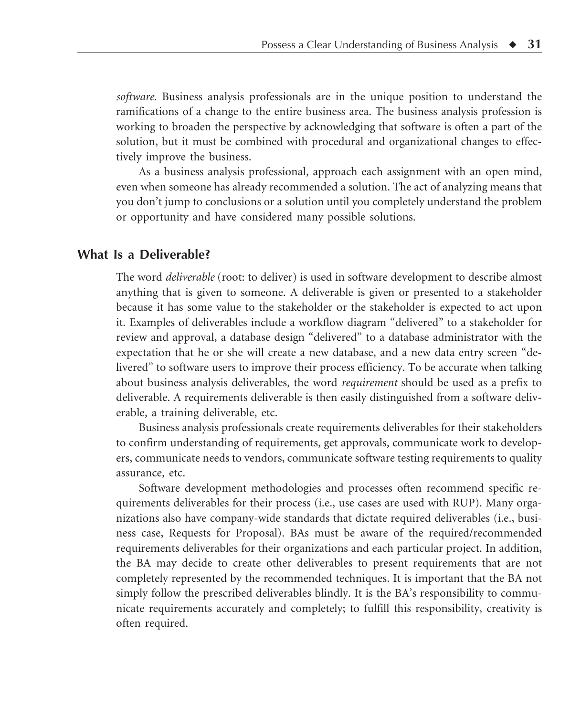*software.* Business analysis professionals are in the unique position to understand the ramifications of a change to the entire business area. The business analysis profession is working to broaden the perspective by acknowledging that software is often a part of the solution, but it must be combined with procedural and organizational changes to effectively improve the business.

As a business analysis professional, approach each assignment with an open mind, even when someone has already recommended a solution. The act of analyzing means that you don't jump to conclusions or a solution until you completely understand the problem or opportunity and have considered many possible solutions.

#### **What Is a Deliverable?**

The word *deliverable* (root: to deliver) is used in software development to describe almost anything that is given to someone. A deliverable is given or presented to a stakeholder because it has some value to the stakeholder or the stakeholder is expected to act upon it. Examples of deliverables include a workflow diagram "delivered" to a stakeholder for review and approval, a database design "delivered" to a database administrator with the expectation that he or she will create a new database, and a new data entry screen "delivered" to software users to improve their process efficiency. To be accurate when talking about business analysis deliverables, the word *requirement* should be used as a prefix to deliverable. A requirements deliverable is then easily distinguished from a software deliverable, a training deliverable, etc.

Business analysis professionals create requirements deliverables for their stakeholders to confirm understanding of requirements, get approvals, communicate work to developers, communicate needs to vendors, communicate software testing requirements to quality assurance, etc.

Software development methodologies and processes often recommend specific requirements deliverables for their process (i.e., use cases are used with RUP). Many organizations also have company-wide standards that dictate required deliverables (i.e., business case, Requests for Proposal). BAs must be aware of the required/recommended requirements deliverables for their organizations and each particular project. In addition, the BA may decide to create other deliverables to present requirements that are not completely represented by the recommended techniques. It is important that the BA not simply follow the prescribed deliverables blindly. It is the BA's responsibility to communicate requirements accurately and completely; to fulfill this responsibility, creativity is often required.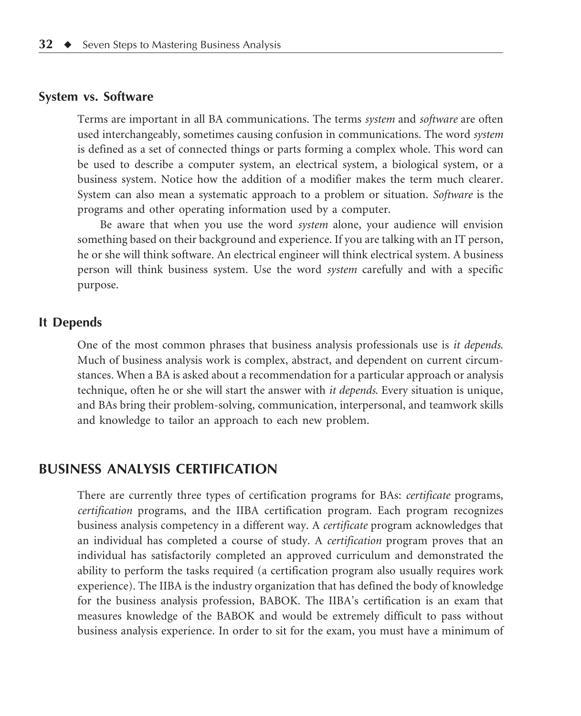#### **System vs. Software**

Terms are important in all BA communications. The terms *system* and *software* are often used interchangeably, sometimes causing confusion in communications. The word *system* is defined as a set of connected things or parts forming a complex whole. This word can be used to describe a computer system, an electrical system, a biological system, or a business system. Notice how the addition of a modifier makes the term much clearer. System can also mean a systematic approach to a problem or situation. *Software* is the programs and other operating information used by a computer.

Be aware that when you use the word *system* alone, your audience will envision something based on their background and experience. If you are talking with an IT person, he or she will think software. An electrical engineer will think electrical system. A business person will think business system. Use the word *system* carefully and with a specific purpose.

#### **It Depends**

One of the most common phrases that business analysis professionals use is *it depends*. Much of business analysis work is complex, abstract, and dependent on current circumstances. When a BA is asked about a recommendation for a particular approach or analysis technique, often he or she will start the answer with *it depends*. Every situation is unique, and BAs bring their problem-solving, communication, interpersonal, and teamwork skills and knowledge to tailor an approach to each new problem.

# **BUSINESS ANALYSIS CERTIFICATION**

There are currently three types of certification programs for BAs: *certificate* programs, *certification* programs, and the IIBA certification program. Each program recognizes business analysis competency in a different way. A *certificate* program acknowledges that an individual has completed a course of study. A *certification* program proves that an individual has satisfactorily completed an approved curriculum and demonstrated the ability to perform the tasks required (a certification program also usually requires work experience). The IIBA is the industry organization that has defined the body of knowledge for the business analysis profession, BABOK. The IIBA's certification is an exam that measures knowledge of the BABOK and would be extremely difficult to pass without business analysis experience. In order to sit for the exam, you must have a minimum of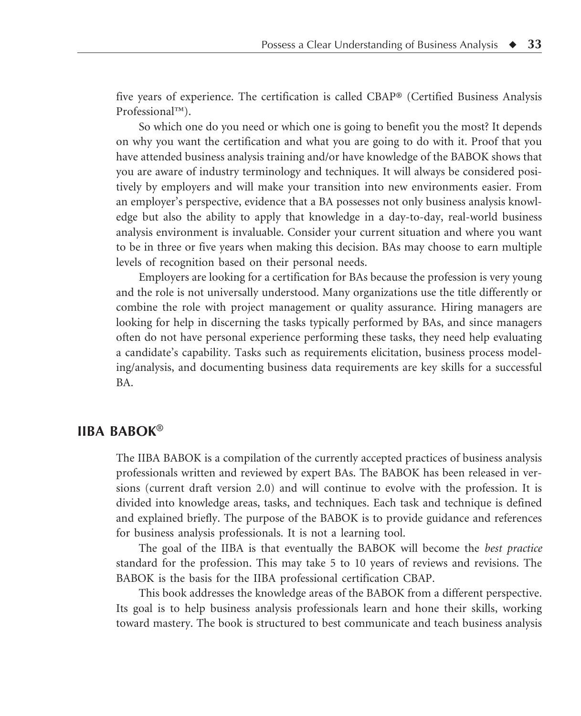five years of experience. The certification is called CBAP® (Certified Business Analysis Professional™).

So which one do you need or which one is going to benefit you the most? It depends on why you want the certification and what you are going to do with it. Proof that you have attended business analysis training and/or have knowledge of the BABOK shows that you are aware of industry terminology and techniques. It will always be considered positively by employers and will make your transition into new environments easier. From an employer's perspective, evidence that a BA possesses not only business analysis knowledge but also the ability to apply that knowledge in a day-to-day, real-world business analysis environment is invaluable. Consider your current situation and where you want to be in three or five years when making this decision. BAs may choose to earn multiple levels of recognition based on their personal needs.

Employers are looking for a certification for BAs because the profession is very young and the role is not universally understood. Many organizations use the title differently or combine the role with project management or quality assurance. Hiring managers are looking for help in discerning the tasks typically performed by BAs, and since managers often do not have personal experience performing these tasks, they need help evaluating a candidate's capability. Tasks such as requirements elicitation, business process modeling/analysis, and documenting business data requirements are key skills for a successful BA.

# **IIBA BABOK®**

The IIBA BABOK is a compilation of the currently accepted practices of business analysis professionals written and reviewed by expert BAs. The BABOK has been released in versions (current draft version 2.0) and will continue to evolve with the profession. It is divided into knowledge areas, tasks, and techniques. Each task and technique is defined and explained briefly. The purpose of the BABOK is to provide guidance and references for business analysis professionals. It is not a learning tool.

The goal of the IIBA is that eventually the BABOK will become the *best practice* standard for the profession. This may take 5 to 10 years of reviews and revisions. The BABOK is the basis for the IIBA professional certification CBAP.

This book addresses the knowledge areas of the BABOK from a different perspective. Its goal is to help business analysis professionals learn and hone their skills, working toward mastery. The book is structured to best communicate and teach business analysis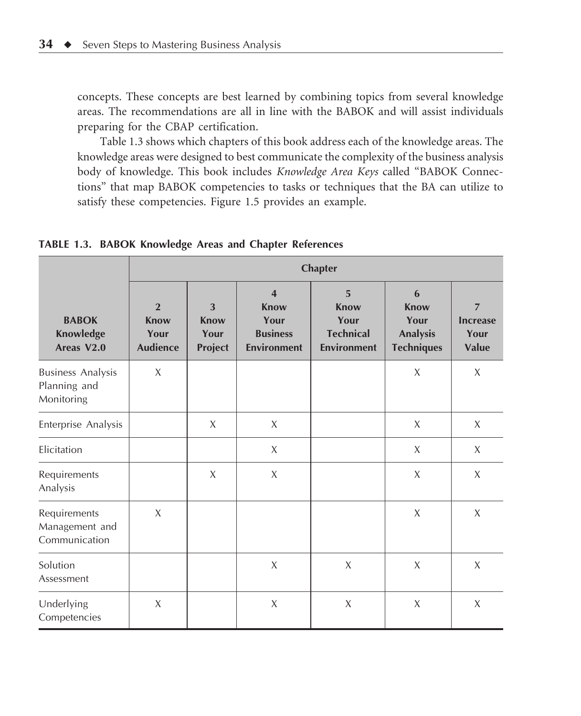concepts. These concepts are best learned by combining topics from several knowledge areas. The recommendations are all in line with the BABOK and will assist individuals preparing for the CBAP certification.

Table 1.3 shows which chapters of this book address each of the knowledge areas. The knowledge areas were designed to best communicate the complexity of the business analysis body of knowledge. This book includes *Knowledge Area Keys* called "BABOK Connections" that map BABOK competencies to tasks or techniques that the BA can utilize to satisfy these competencies. Figure 1.5 provides an example.

**TABLE 1.3. BABOK Knowledge Areas and Chapter References**

|                                                        | <b>Chapter</b>                                           |                                     |                                                                                         |                                                                    |                                                                  |                                                           |
|--------------------------------------------------------|----------------------------------------------------------|-------------------------------------|-----------------------------------------------------------------------------------------|--------------------------------------------------------------------|------------------------------------------------------------------|-----------------------------------------------------------|
| <b>BABOK</b><br>Knowledge<br>Areas V2.0                | $\overline{2}$<br><b>Know</b><br>Your<br><b>Audience</b> | 3<br><b>Know</b><br>Your<br>Project | $\overline{\mathbf{4}}$<br><b>Know</b><br>Your<br><b>Business</b><br><b>Environment</b> | 5<br><b>Know</b><br>Your<br><b>Technical</b><br><b>Environment</b> | 6<br><b>Know</b><br>Your<br><b>Analysis</b><br><b>Techniques</b> | $\overline{7}$<br><b>Increase</b><br>Your<br><b>Value</b> |
| <b>Business Analysis</b><br>Planning and<br>Monitoring | $\chi$                                                   |                                     |                                                                                         |                                                                    | X                                                                | X                                                         |
| Enterprise Analysis                                    |                                                          | X                                   | X                                                                                       |                                                                    | X                                                                | X                                                         |
| Elicitation                                            |                                                          |                                     | X                                                                                       |                                                                    | $\chi$                                                           | X                                                         |
| Requirements<br>Analysis                               |                                                          | X                                   | X                                                                                       |                                                                    | X                                                                | X                                                         |
| Requirements<br>Management and<br>Communication        | $\chi$                                                   |                                     |                                                                                         |                                                                    | $\chi$                                                           | $\chi$                                                    |
| Solution<br>Assessment                                 |                                                          |                                     | X                                                                                       | X                                                                  | X                                                                | X                                                         |
| Underlying<br>Competencies                             | $\chi$                                                   |                                     | $\chi$                                                                                  | $\chi$                                                             | X                                                                | X                                                         |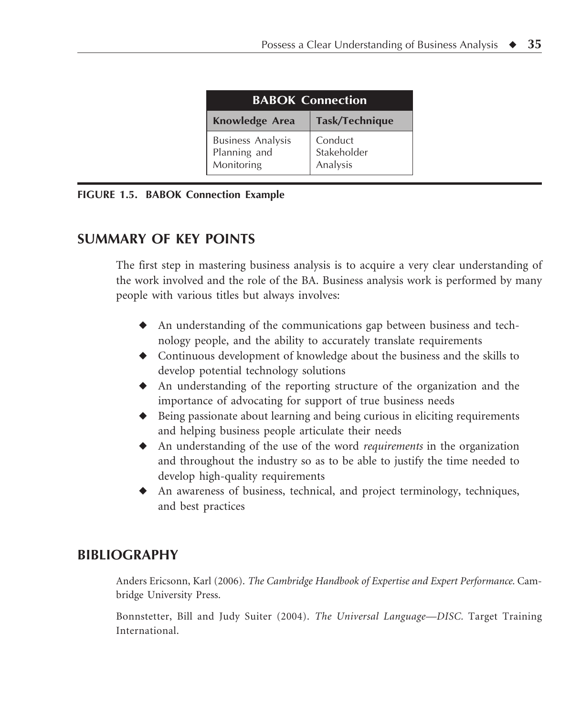| <b>BABOK Connection</b>                                |                                    |  |  |
|--------------------------------------------------------|------------------------------------|--|--|
| <b>Knowledge Area</b>                                  | Task/Technique                     |  |  |
| <b>Business Analysis</b><br>Planning and<br>Monitoring | Conduct<br>Stakeholder<br>Analysis |  |  |

|  |  | FIGURE 1.5. BABOK Connection Example |  |
|--|--|--------------------------------------|--|
|--|--|--------------------------------------|--|

# **SUMMARY OF KEY POINTS**

The first step in mastering business analysis is to acquire a very clear understanding of the work involved and the role of the BA. Business analysis work is performed by many people with various titles but always involves:

- An understanding of the communications gap between business and technology people, and the ability to accurately translate requirements
- Continuous development of knowledge about the business and the skills to develop potential technology solutions
- An understanding of the reporting structure of the organization and the importance of advocating for support of true business needs
- Being passionate about learning and being curious in eliciting requirements and helping business people articulate their needs
- An understanding of the use of the word *requirements* in the organization and throughout the industry so as to be able to justify the time needed to develop high-quality requirements
- An awareness of business, technical, and project terminology, techniques, and best practices

# **BIBLIOGRAPHY**

Anders Ericsonn, Karl (2006). *The Cambridge Handbook of Expertise and Expert Performance.* Cambridge University Press.

Bonnstetter, Bill and Judy Suiter (2004). *The Universal Language—DISC.* Target Training International.